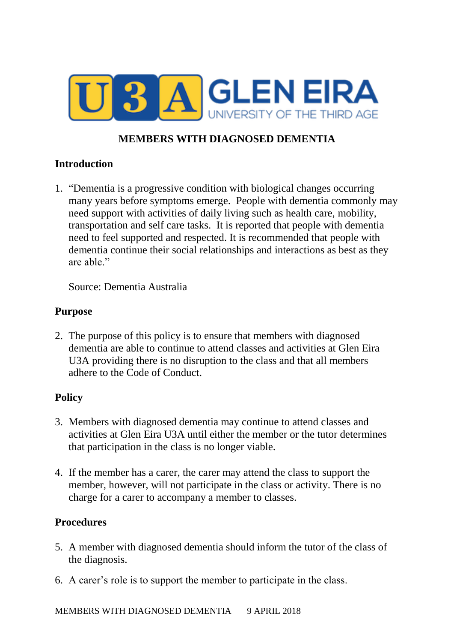

# **MEMBERS WITH DIAGNOSED DEMENTIA**

#### **Introduction**

1. "Dementia is a progressive condition with biological changes occurring many years before symptoms emerge. People with dementia commonly may need support with activities of daily living such as health care, mobility, transportation and self care tasks. It is reported that people with dementia need to feel supported and respected. It is recommended that people with dementia continue their social relationships and interactions as best as they are able."

Source: Dementia Australia

## **Purpose**

2. The purpose of this policy is to ensure that members with diagnosed dementia are able to continue to attend classes and activities at Glen Eira U3A providing there is no disruption to the class and that all members adhere to the Code of Conduct.

## **Policy**

- 3. Members with diagnosed dementia may continue to attend classes and activities at Glen Eira U3A until either the member or the tutor determines that participation in the class is no longer viable.
- 4. If the member has a carer, the carer may attend the class to support the member, however, will not participate in the class or activity. There is no charge for a carer to accompany a member to classes.

## **Procedures**

- 5. A member with diagnosed dementia should inform the tutor of the class of the diagnosis.
- 6. A carer's role is to support the member to participate in the class.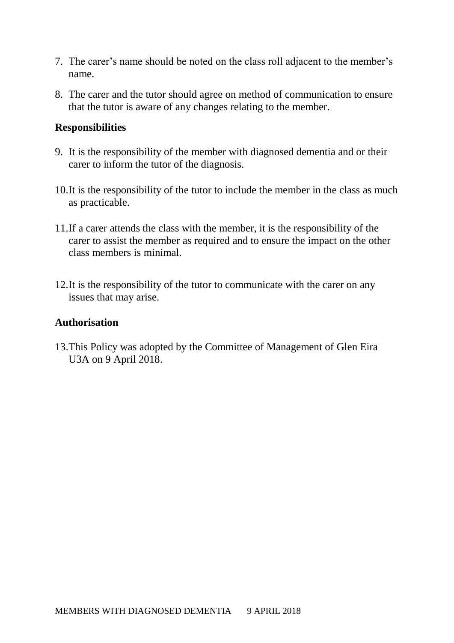- 7. The carer's name should be noted on the class roll adjacent to the member's name.
- 8. The carer and the tutor should agree on method of communication to ensure that the tutor is aware of any changes relating to the member.

#### **Responsibilities**

- 9. It is the responsibility of the member with diagnosed dementia and or their carer to inform the tutor of the diagnosis.
- 10.It is the responsibility of the tutor to include the member in the class as much as practicable.
- 11.If a carer attends the class with the member, it is the responsibility of the carer to assist the member as required and to ensure the impact on the other class members is minimal.
- 12.It is the responsibility of the tutor to communicate with the carer on any issues that may arise.

#### **Authorisation**

13.This Policy was adopted by the Committee of Management of Glen Eira U3A on 9 April 2018.